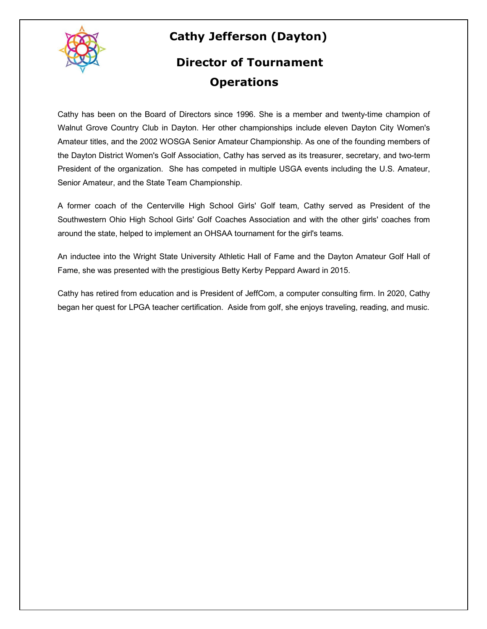

## **Cathy Jefferson (Dayton)**

## **Director of Tournament Operations**

Cathy has been on the Board of Directors since 1996. She is a member and twenty-time champion of Walnut Grove Country Club in Dayton. Her other championships include eleven Dayton City Women's Amateur titles, and the 2002 WOSGA Senior Amateur Championship. As one of the founding members of the Dayton District Women's Golf Association, Cathy has served as its treasurer, secretary, and two-term President of the organization. She has competed in multiple USGA events including the U.S. Amateur, Senior Amateur, and the State Team Championship.

A former coach of the Centerville High School Girls' Golf team, Cathy served as President of the Southwestern Ohio High School Girls' Golf Coaches Association and with the other girls' coaches from around the state, helped to implement an OHSAA tournament for the girl's teams.

An inductee into the Wright State University Athletic Hall of Fame and the Dayton Amateur Golf Hall of Fame, she was presented with the prestigious Betty Kerby Peppard Award in 2015.

Cathy has retired from education and is President of JeffCom, a computer consulting firm. In 2020, Cathy began her quest for LPGA teacher certification. Aside from golf, she enjoys traveling, reading, and music.